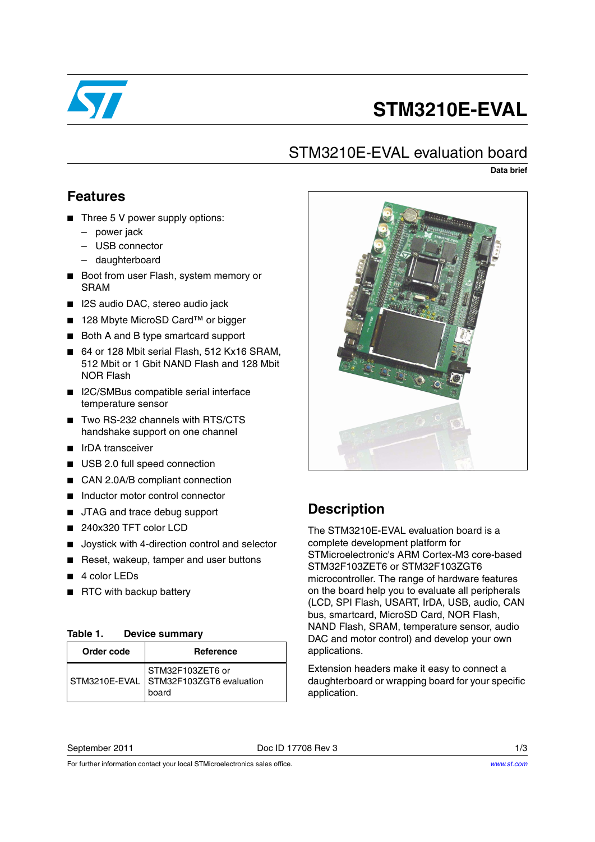

# **STM3210E-EVAL**

### STM3210E-EVAL evaluation board

**Data brief**

### **Features**

- Three 5 V power supply options:
	- power jack
	- USB connector
	- daughterboard
- Boot from user Flash, system memory or SRAM
- I2S audio DAC, stereo audio jack
- 128 Mbyte MicroSD Card<sup>™</sup> or bigger
- Both A and B type smartcard support
- 64 or 128 Mbit serial Flash, 512 Kx16 SRAM, 512 Mbit or 1 Gbit NAND Flash and 128 Mbit NOR Flash
- I2C/SMBus compatible serial interface temperature sensor
- Two RS-232 channels with RTS/CTS handshake support on one channel
- IrDA transceiver
- USB 2.0 full speed connection
- CAN 2.0A/B compliant connection
- Inductor motor control connector
- JTAG and trace debug support
- 240x320 TFT color LCD
- Joystick with 4-direction control and selector
- Reset, wakeup, tamper and user buttons
- 4 color LEDs
- RTC with backup battery

#### Table 1. **Device summary**

| Order code | <b>Reference</b>                                                    |
|------------|---------------------------------------------------------------------|
|            | STM32F103ZET6 or<br>STM3210E-EVAL STM32F103ZGT6 evaluation<br>board |



## **Description**

The STM3210E-EVAL evaluation board is a complete development platform for STMicroelectronic's ARM Cortex-M3 core-based STM32F103ZET6 or STM32F103ZGT6 microcontroller. The range of hardware features on the board help you to evaluate all peripherals (LCD, SPI Flash, USART, IrDA, USB, audio, CAN bus, smartcard, MicroSD Card, NOR Flash, NAND Flash, SRAM, temperature sensor, audio DAC and motor control) and develop your own applications.

Extension headers make it easy to connect a daughterboard or wrapping board for your specific application.

### September 2011 Doc ID 17708 Rev 3 1/3

For further information contact your local STMicroelectronics sales office.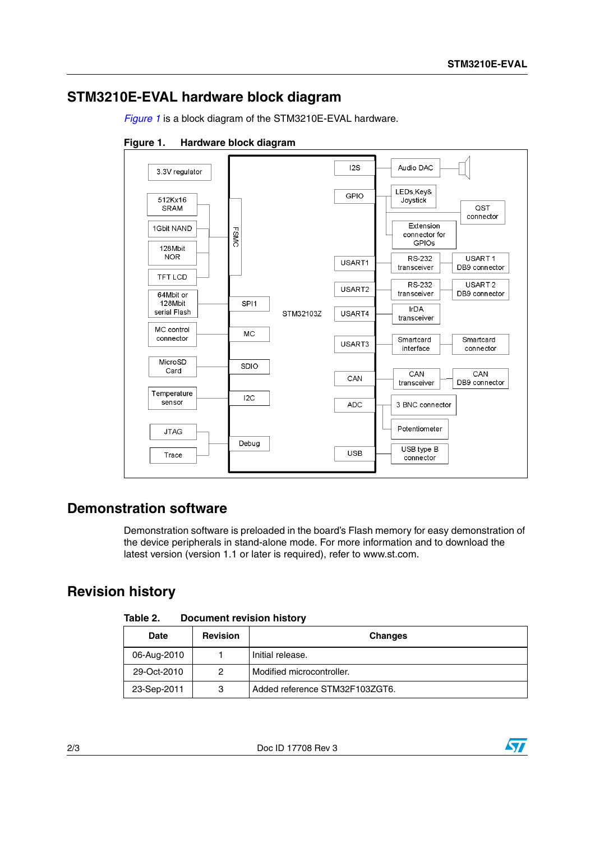### **STM3210E-EVAL hardware block diagram**

*[Figure 1](#page-1-0)* is a block diagram of the STM3210E-EVAL hardware.

<span id="page-1-0"></span>**Figure 1. Hardware block diagram**



### **Demonstration software**

Demonstration software is preloaded in the board's Flash memory for easy demonstration of the device peripherals in stand-alone mode. For more information and to download the latest version (version 1.1 or later is required), refer to www.st.com.

### **Revision history**

| Table 2. | <b>Document revision history</b> |  |
|----------|----------------------------------|--|
|          |                                  |  |

| Date        | <b>Revision</b> | <b>Changes</b>                 |
|-------------|-----------------|--------------------------------|
| 06-Aug-2010 |                 | Initial release.               |
| 29-Oct-2010 | 2               | Modified microcontroller.      |
| 23-Sep-2011 | 3               | Added reference STM32F103ZGT6. |